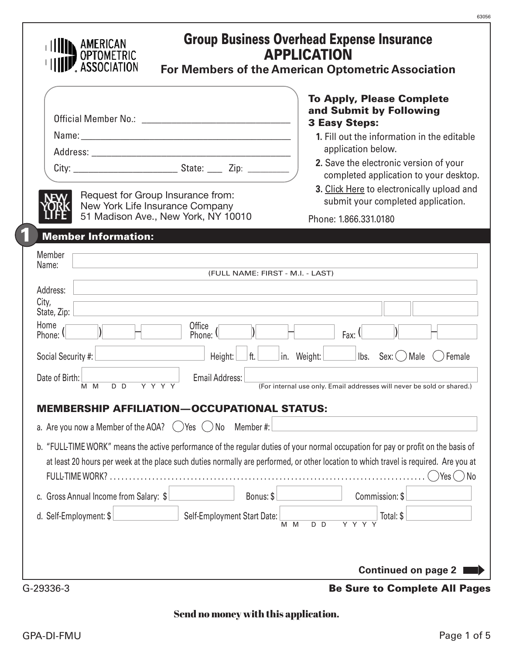|                                        |                                                                                                             | <b>To Apply, Please Complete</b>                                                                                                                                                                                                                                                           |
|----------------------------------------|-------------------------------------------------------------------------------------------------------------|--------------------------------------------------------------------------------------------------------------------------------------------------------------------------------------------------------------------------------------------------------------------------------------------|
|                                        |                                                                                                             | and Submit by Following<br><b>3 Easy Steps:</b>                                                                                                                                                                                                                                            |
|                                        |                                                                                                             | 1. Fill out the information in the editable                                                                                                                                                                                                                                                |
|                                        |                                                                                                             | application below.                                                                                                                                                                                                                                                                         |
|                                        |                                                                                                             | 2. Save the electronic version of your<br>completed application to your desktop.                                                                                                                                                                                                           |
|                                        | Request for Group Insurance from:<br>New York Life Insurance Company<br>51 Madison Ave., New York, NY 10010 | 3. Click Here to electronically upload and<br>submit your completed application.                                                                                                                                                                                                           |
|                                        |                                                                                                             | Phone: 1.866.331.0180                                                                                                                                                                                                                                                                      |
| <b>Member Information:</b>             |                                                                                                             |                                                                                                                                                                                                                                                                                            |
| Member<br>Name:                        |                                                                                                             |                                                                                                                                                                                                                                                                                            |
|                                        | (FULL NAME: FIRST - M.I. - LAST)                                                                            |                                                                                                                                                                                                                                                                                            |
| Address:<br>City,                      |                                                                                                             |                                                                                                                                                                                                                                                                                            |
| State, Zip:                            |                                                                                                             |                                                                                                                                                                                                                                                                                            |
| Home<br>Phone: \                       | Office<br>Phone: 1                                                                                          | Fax: $($                                                                                                                                                                                                                                                                                   |
| Social Security #:                     | Height:<br>$\mathsf{ft.}$                                                                                   | $ $ lbs. Sex: $\bigcirc$ Male<br>in. Weight:<br>$( )$ Female                                                                                                                                                                                                                               |
| Date of Birth:                         | <b>Email Address:</b>                                                                                       |                                                                                                                                                                                                                                                                                            |
| $D$ $D$<br>M M                         | $Y$ $Y$ $Y$ $Y$                                                                                             | (For internal use only. Email addresses will never be sold or shared.)                                                                                                                                                                                                                     |
|                                        | OCCUPATIONAL STATUS:<br>І ІАТІОН                                                                            |                                                                                                                                                                                                                                                                                            |
|                                        | a. Are you now a Member of the AOA? $\bigcirc$ Yes $\bigcirc$ No<br>Member #:                               |                                                                                                                                                                                                                                                                                            |
| <b>FULL-TIME WORK?</b>                 |                                                                                                             | b. "FULL-TIME WORK" means the active performance of the regular duties of your normal occupation for pay or profit on the basis of<br>at least 20 hours per week at the place such duties normally are performed, or other location to which travel is required. Are you at<br>Yes (<br>No |
|                                        | Bonus: \$                                                                                                   | Commission: \$                                                                                                                                                                                                                                                                             |
| c. Gross Annual Income from Salary: \$ |                                                                                                             |                                                                                                                                                                                                                                                                                            |

## Send no money with this application.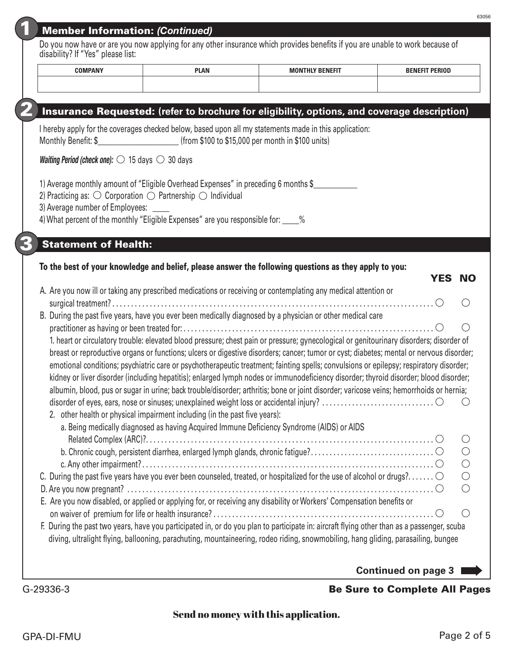| Member Information: (Continued) |  |
|---------------------------------|--|
|                                 |  |
|                                 |  |
|                                 |  |

Do you now have or are you now applying for any other insurance which provides benefits if you are unable to work because of disability? If "Yes" please list:

| <b>COMPANY</b> | <b>PLAN</b> | FUUV BENEEIT<br><b>BAO</b> | <b>ENEFIT PERIOD</b> |
|----------------|-------------|----------------------------|----------------------|
|                |             |                            |                      |
|                |             |                            |                      |

#### 2 Insurance Requested: **(refer to brochure for eligibility, options, and coverage description)**

I hereby apply for the coverages checked below, based upon all my statements made in this application: Monthly Benefit: \$\_\_\_\_\_\_\_\_\_\_\_\_\_\_\_\_\_\_\_\_\_\_\_\_ (from \$100 to \$15,000 per month in \$100 units)

*Waiting Period (check one):*  $\bigcirc$  15 days  $\bigcirc$  30 days

1) Average monthly amount of "Eligible Overhead Expenses" in preceding 6 months \$

2) Practicing as:  $\bigcirc$  Corporation  $\bigcirc$  Partnership  $\bigcirc$  Individual

3) Average number of Employees: \_\_\_\_\_

| 4) What percent of the monthly "Eligible Expenses" are you responsible for: _ |  |
|-------------------------------------------------------------------------------|--|
|-------------------------------------------------------------------------------|--|

### **Statement of Health:**

#### To the best of your knowledge and belief, please answer the following questions as they apply to you: YES NO

| A. Are you now ill or taking any prescribed medications or receiving or contemplating any medical attention or                             |                                             |
|--------------------------------------------------------------------------------------------------------------------------------------------|---------------------------------------------|
|                                                                                                                                            |                                             |
| B. During the past five years, have you ever been medically diagnosed by a physician or other medical care                                 |                                             |
|                                                                                                                                            |                                             |
| 1. heart or circulatory trouble: elevated blood pressure; chest pain or pressure; gynecological or genitourinary disorders; disorder of    |                                             |
| breast or reproductive organs or functions; ulcers or digestive disorders; cancer; tumor or cyst; diabetes; mental or nervous disorder;    |                                             |
| emotional conditions; psychiatric care or psychotherapeutic treatment; fainting spells; convulsions or epilepsy; respiratory disorder;     |                                             |
| kidney or liver disorder (including hepatitis); enlarged lymph nodes or immunodeficiency disorder; thyroid disorder; blood disorder;       |                                             |
| albumin, blood, pus or sugar in urine; back trouble/disorder; arthritis; bone or joint disorder; varicose veins; hemorrhoids or hernia;    |                                             |
|                                                                                                                                            |                                             |
| 2. other health or physical impairment including (in the past five years):                                                                 |                                             |
| a. Being medically diagnosed as having Acquired Immune Deficiency Syndrome (AIDS) or AIDS                                                  |                                             |
|                                                                                                                                            | ( )                                         |
|                                                                                                                                            | $\bigcirc$                                  |
|                                                                                                                                            | $\bigcirc$                                  |
| C. During the past five years have you ever been counseled, treated, or hospitalized for the use of alcohol or drugs? $\circlearrowright$  | $\bigcirc$                                  |
|                                                                                                                                            | $\left(\begin{array}{c} \end{array}\right)$ |
| E. Are you now disabled, or applied or applying for, or receiving any disability or Workers' Compensation benefits or                      |                                             |
|                                                                                                                                            | $(\ )$                                      |
|                                                                                                                                            |                                             |
| F. During the past two years, have you participated in, or do you plan to participate in: aircraft flying other than as a passenger, scuba |                                             |
| diving, ultralight flying, ballooning, parachuting, mountaineering, rodeo riding, snowmobiling, hang gliding, parasailing, bungee          |                                             |
|                                                                                                                                            |                                             |
| <b>Continued on page 3</b>                                                                                                                 |                                             |
|                                                                                                                                            |                                             |

# G-29336-3 Be Sure to Complete All Pages

## Send no money with this application.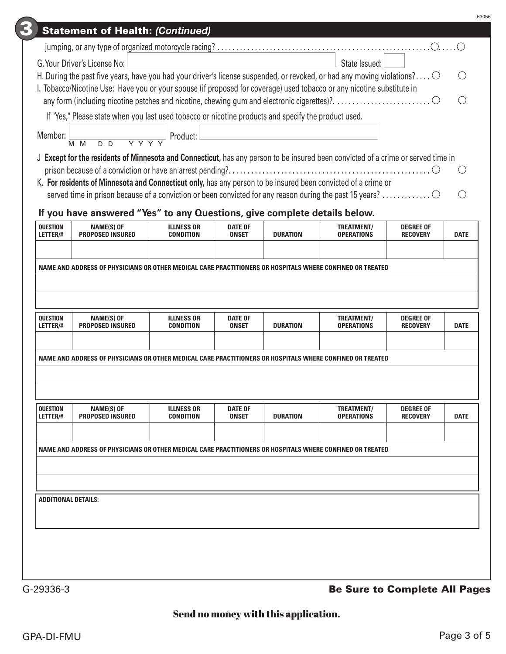|                             | G. Your Driver's License No:                                                                                                               |                                       |                                |                 | State Issued:                   |                                     |             |
|-----------------------------|--------------------------------------------------------------------------------------------------------------------------------------------|---------------------------------------|--------------------------------|-----------------|---------------------------------|-------------------------------------|-------------|
|                             | H. During the past five years, have you had your driver's license suspended, or revoked, or had any moving violations? $\circlearrowright$ |                                       |                                |                 |                                 |                                     |             |
|                             | I. Tobacco/Nicotine Use: Have you or your spouse (if proposed for coverage) used tobacco or any nicotine substitute in                     |                                       |                                |                 |                                 |                                     |             |
|                             |                                                                                                                                            |                                       |                                |                 |                                 |                                     |             |
|                             | If "Yes," Please state when you last used tobacco or nicotine products and specify the product used.                                       |                                       |                                |                 |                                 |                                     |             |
| Member:                     | M D D Y Y Y Y<br>$M$ $M$                                                                                                                   | Product:                              |                                |                 |                                 |                                     |             |
|                             | J Except for the residents of Minnesota and Connecticut, has any person to be insured been convicted of a crime or served time in          |                                       |                                |                 |                                 |                                     |             |
|                             |                                                                                                                                            |                                       |                                |                 |                                 |                                     |             |
|                             | K. For residents of Minnesota and Connecticut only, has any person to be insured been convicted of a crime or                              |                                       |                                |                 |                                 |                                     |             |
|                             |                                                                                                                                            |                                       |                                |                 |                                 |                                     | $\bigcirc$  |
|                             | If you have answered "Yes" to any Questions, give complete details below.                                                                  |                                       |                                |                 |                                 |                                     |             |
| <b>QUESTION</b>             | <b>NAME(S) OF</b>                                                                                                                          | <b>ILLNESS OR</b>                     | <b>DATE OF</b>                 |                 | <b>TREATMENT/</b>               | <b>DEGREE OF</b>                    |             |
| LETTER/#                    | <b>PROPOSED INSURED</b>                                                                                                                    | <b>CONDITION</b>                      | <b>ONSET</b>                   | <b>DURATION</b> | <b>OPERATIONS</b>               | <b>RECOVERY</b>                     | <b>DATE</b> |
|                             |                                                                                                                                            |                                       |                                |                 |                                 |                                     |             |
|                             |                                                                                                                                            |                                       |                                |                 |                                 |                                     |             |
|                             | NAME AND ADDRESS OF PHYSICIANS OR OTHER MEDICAL CARE PRACTITIONERS OR HOSPITALS WHERE CONFINED OR TREATED                                  |                                       |                                |                 |                                 |                                     |             |
| <b>QUESTION</b><br>LETTER/# | <b>NAME(S) OF</b><br><b>PROPOSED INSURED</b>                                                                                               | <b>ILLNESS OR</b><br><b>CONDITION</b> | <b>DATE OF</b><br><b>ONSET</b> | <b>DURATION</b> | TREATMENT/<br><b>OPERATIONS</b> | <b>DEGREE OF</b><br><b>RECOVERY</b> | <b>DATE</b> |
|                             |                                                                                                                                            |                                       |                                |                 |                                 |                                     |             |
|                             | NAME AND ADDRESS OF PHYSICIANS OR OTHER MEDICAL CARE PRACTITIONERS OR HOSPITALS WHERE CONFINED OR TREATED                                  |                                       |                                |                 |                                 |                                     |             |
|                             |                                                                                                                                            |                                       |                                |                 |                                 |                                     |             |
|                             |                                                                                                                                            |                                       |                                |                 |                                 |                                     |             |
|                             |                                                                                                                                            |                                       |                                |                 |                                 |                                     |             |
|                             | <b>NAME(S) OF</b><br><b>PROPOSED INSURED</b>                                                                                               | <b>ILLNESS OR</b><br><b>CONDITION</b> | <b>DATE OF</b><br><b>ONSET</b> | <b>DURATION</b> | TREATMENT/<br><b>OPERATIONS</b> | <b>DEGREE OF</b><br><b>RECOVERY</b> | <b>DATE</b> |
|                             |                                                                                                                                            |                                       |                                |                 |                                 |                                     |             |
|                             | NAME AND ADDRESS OF PHYSICIANS OR OTHER MEDICAL CARE PRACTITIONERS OR HOSPITALS WHERE CONFINED OR TREATED                                  |                                       |                                |                 |                                 |                                     |             |
|                             |                                                                                                                                            |                                       |                                |                 |                                 |                                     |             |
|                             |                                                                                                                                            |                                       |                                |                 |                                 |                                     |             |
| <b>QUESTION</b><br>LETTER/# |                                                                                                                                            |                                       |                                |                 |                                 |                                     |             |
|                             | <b>ADDITIONAL DETAILS:</b>                                                                                                                 |                                       |                                |                 |                                 |                                     |             |
|                             |                                                                                                                                            |                                       |                                |                 |                                 |                                     |             |
|                             |                                                                                                                                            |                                       |                                |                 |                                 |                                     |             |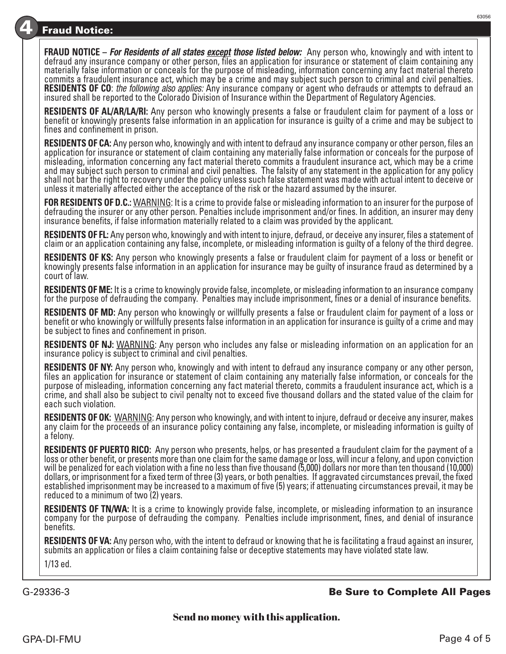## **Fraud Notice:**

**FRAUD NOTICE –** *For Residents of all states except those listed below:* Any person who, knowingly and with intent to defraud any insurance company or other person, files an application for insurance or statement of claim containing any materially false information or conceals for the purpose of misleading, information concerning any fact material thereto commits a fraudulent insurance act, which may be a crime and may subject such person to criminal and civil penalties. **RESIDENTS OF CO**: *the following also applies:* Any insurance company or agent who defrauds or attempts to defraud an<br>insured shall be reported to the Colorado Division of Insurance within the Department of Regulatory Age

**RESIDENTS OF AL/AR/LA/RI:** Any person who knowingly presents a false or fraudulent claim for payment of a loss or benefit or knowingly presents false information in an application for insurance is guilty of a crime and may be subject to fines and confinement in prison.

**RESIDENTS OF CA:** Any person who, knowingly and with intent to defraud any insurance company or other person, files an application for insurance or statement of claim containing any materially false information or conceals for the purpose of misleading, information concerning any fact material thereto commits a fraudulent insurance act, which may be a crime and may subject such person to criminal and civil penalties. The falsity of any statement in the application for any policy shall not bar the right to recovery under the policy unless such false statement was made with actual intent to deceive or unless it materially affected either the acceptance of the risk or the hazard assumed by the insurer.

**FOR RESIDENTS OF D.C.:** WARNING: It is a crime to provide false or misleading information to an insurer for the purpose of defrauding the insurer or any other person. Penalties include imprisonment and/or fines. In addition, an insurer may deny insurance benefits, if false information materially related to a claim was provided by the applicant.

**RESIDENTS OF FL:** Any person who, knowingly and with intent to injure, defraud, or deceive any insurer, files a statement of claim or an application containing any false, incomplete, or misleading information is guilty of a felony of the third degree.

**RESIDENTS OF KS:** Any person who knowingly presents a false or fraudulent claim for payment of a loss or benefit or knowingly presents false information in an application for insurance may be guilty of insurance fraud as determined by a court of law.

**RESIDENTS OF ME:** It is a crime to knowingly provide false, incomplete, or misleading information to an insurance company for the purpose of defrauding the company. Penalties may include imprisonment, fines or a denial of insurance benefits.

**RESIDENTS OF MD:** Any person who knowingly or willfully presents a false or fraudulent claim for payment of a loss or benefit or who knowingly or willfully presents false information in an application for insurance is guilty of a crime and may be subject to fines and confinement in prison.

**RESIDENTS OF NJ:** WARNING: Any person who includes any false or misleading information on an application for an insurance policy is subject to criminal and civil penalties.

**RESIDENTS OF NY:** Any person who, knowingly and with intent to defraud any insurance company or any other person, files an application for insurance or statement of claim containing any materially false information, or conceals for the purpose of misleading, information concerning any fact material thereto, commits a fraudulent insurance act, which is a crime, and shall also be subject to civil penalty not to exceed five thousand dollars and the stated value of the claim for each such violation.

**RESIDENTS OF OK:** WARNING: Any person who knowingly, and with intent to injure, defraud or deceive any insurer, makes any claim for the proceeds of an insurance policy containing any false, incomplete, or misleading information is guilty of a felony.

**RESIDENTS OF PUERTO RICO:** Any person who presents, helps, or has presented a fraudulent claim for the payment of a loss or other benefit, or presents more than one claim for the same damage or loss, will incur a felony, and upon conviction will be penalized for each violation with a fine no less than five thousand (5,000) dollars nor more than ten thousand (10,000) dollars, or imprisonment for a fixed term of three (3) years, or both penalties. If aggravated circumstances prevail, the fixed established imprisonment may be increased to a maximum of five (5) years; if attenuating circumstances prevail, it may be reduced to a minimum of two (2) years.

**RESIDENTS OF TN/WA:** It is a crime to knowingly provide false, incomplete, or misleading information to an insurance company for the purpose of defrauding the company. Penalties include imprisonment, fines, and denial of insurance benefits.

**RESIDENTS OF VA:** Any person who, with the intent to defraud or knowing that he is facilitating a fraud against an insurer, submits an application or files a claim containing false or deceptive statements may have violated state law. 1/13 ed.

#### G-29336-3 Be Sure to Complete All Pages